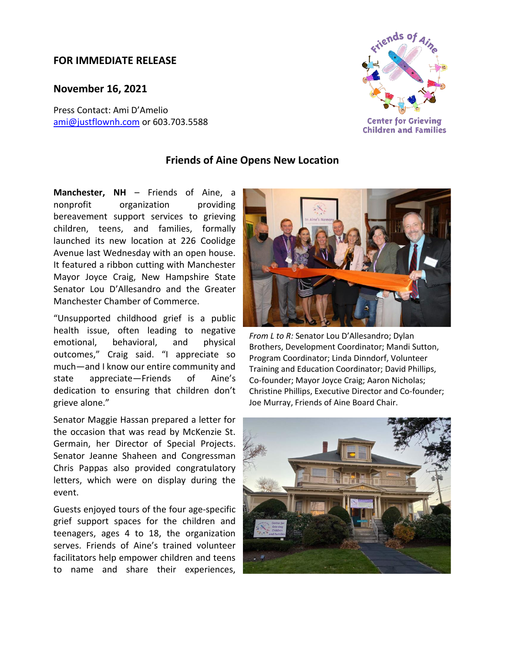## **FOR IMMEDIATE RELEASE**

**November 16, 2021**

Press Contact: Ami D'Amelio [ami@justflownh.com](mailto:ami@justflownh.com)</u> or 603.703.5588



## **Friends of Aine Opens New Location**

**Manchester, NH** – Friends of Aine, a nonprofit organization providing bereavement support services to grieving children, teens, and families, formally launched its new location at 226 Coolidge Avenue last Wednesday with an open house. It featured a ribbon cutting with Manchester Mayor Joyce Craig, New Hampshire State Senator Lou D'Allesandro and the Greater Manchester Chamber of Commerce.

"Unsupported childhood grief is a public health issue, often leading to negative emotional, behavioral, and physical outcomes," Craig said. "I appreciate so much—and I know our entire community and state appreciate—Friends of Aine's dedication to ensuring that children don't grieve alone."

Senator Maggie Hassan prepared a letter for the occasion that was read by McKenzie St. Germain, her Director of Special Projects. Senator Jeanne Shaheen and Congressman Chris Pappas also provided congratulatory letters, which were on display during the event.

Guests enjoyed tours of the four age-specific grief support spaces for the children and teenagers, ages 4 to 18, the organization serves. Friends of Aine's trained volunteer facilitators help empower children and teens to name and share their experiences,



*From L to R:* Senator Lou D'Allesandro; Dylan Brothers, Development Coordinator; Mandi Sutton, Program Coordinator; Linda Dinndorf, Volunteer Training and Education Coordinator; David Phillips, Co-founder; Mayor Joyce Craig; Aaron Nicholas; Christine Phillips, Executive Director and Co-founder; Joe Murray, Friends of Aine Board Chair.